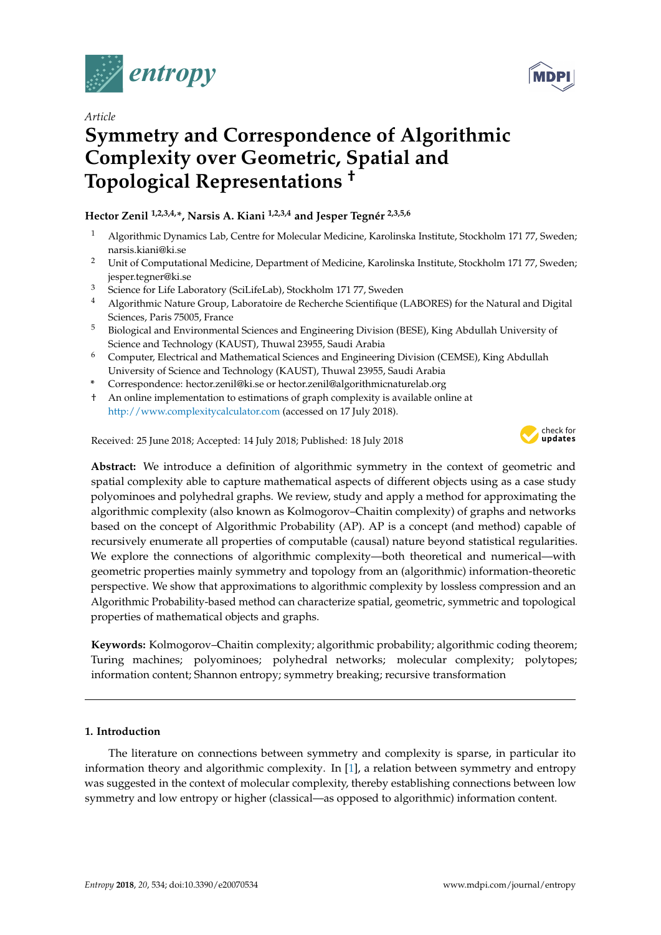



# *Article* **Symmetry and Correspondence of Algorithmic Complexity over Geometric, Spatial and Topological Representations †**

# **Hector Zenil 1,2,3,4,\*, Narsis A. Kiani 1,2,3,4 and Jesper Tegnér 2,3,5,6**

- <sup>1</sup> Algorithmic Dynamics Lab, Centre for Molecular Medicine, Karolinska Institute, Stockholm 171 77, Sweden; narsis.kiani@ki.se
- <sup>2</sup> Unit of Computational Medicine, Department of Medicine, Karolinska Institute, Stockholm 171 77, Sweden; jesper.tegner@ki.se
- <sup>3</sup> Science for Life Laboratory (SciLifeLab), Stockholm 171 77, Sweden
- <sup>4</sup> Algorithmic Nature Group, Laboratoire de Recherche Scientifique (LABORES) for the Natural and Digital Sciences, Paris 75005, France
- <sup>5</sup> Biological and Environmental Sciences and Engineering Division (BESE), King Abdullah University of Science and Technology (KAUST), Thuwal 23955, Saudi Arabia
- <sup>6</sup> Computer, Electrical and Mathematical Sciences and Engineering Division (CEMSE), King Abdullah University of Science and Technology (KAUST), Thuwal 23955, Saudi Arabia
- **\*** Correspondence: hector.zenil@ki.se or hector.zenil@algorithmicnaturelab.org
- † An online implementation to estimations of graph complexity is available online at <http://www.complexitycalculator.com> (accessed on 17 July 2018).

Received: 25 June 2018; Accepted: 14 July 2018; Published: 18 July 2018



**Abstract:** We introduce a definition of algorithmic symmetry in the context of geometric and spatial complexity able to capture mathematical aspects of different objects using as a case study polyominoes and polyhedral graphs. We review, study and apply a method for approximating the algorithmic complexity (also known as Kolmogorov–Chaitin complexity) of graphs and networks based on the concept of Algorithmic Probability (AP). AP is a concept (and method) capable of recursively enumerate all properties of computable (causal) nature beyond statistical regularities. We explore the connections of algorithmic complexity—both theoretical and numerical—with geometric properties mainly symmetry and topology from an (algorithmic) information-theoretic perspective. We show that approximations to algorithmic complexity by lossless compression and an Algorithmic Probability-based method can characterize spatial, geometric, symmetric and topological properties of mathematical objects and graphs.

**Keywords:** Kolmogorov–Chaitin complexity; algorithmic probability; algorithmic coding theorem; Turing machines; polyominoes; polyhedral networks; molecular complexity; polytopes; information content; Shannon entropy; symmetry breaking; recursive transformation

## **1. Introduction**

The literature on connections between symmetry and complexity is sparse, in particular ito information theory and algorithmic complexity. In [\[1\]](#page-13-0), a relation between symmetry and entropy was suggested in the context of molecular complexity, thereby establishing connections between low symmetry and low entropy or higher (classical—as opposed to algorithmic) information content.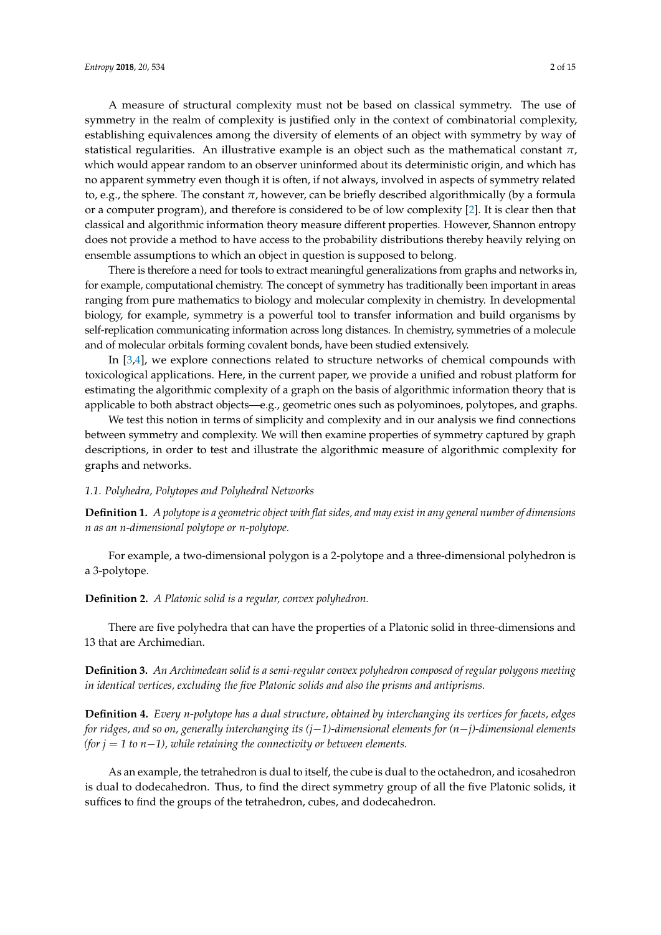A measure of structural complexity must not be based on classical symmetry. The use of symmetry in the realm of complexity is justified only in the context of combinatorial complexity, establishing equivalences among the diversity of elements of an object with symmetry by way of statistical regularities. An illustrative example is an object such as the mathematical constant *π*, which would appear random to an observer uninformed about its deterministic origin, and which has no apparent symmetry even though it is often, if not always, involved in aspects of symmetry related to, e.g., the sphere. The constant *π*, however, can be briefly described algorithmically (by a formula or a computer program), and therefore is considered to be of low complexity [\[2\]](#page-13-1). It is clear then that classical and algorithmic information theory measure different properties. However, Shannon entropy does not provide a method to have access to the probability distributions thereby heavily relying on ensemble assumptions to which an object in question is supposed to belong.

There is therefore a need for tools to extract meaningful generalizations from graphs and networks in, for example, computational chemistry. The concept of symmetry has traditionally been important in areas ranging from pure mathematics to biology and molecular complexity in chemistry. In developmental biology, for example, symmetry is a powerful tool to transfer information and build organisms by self-replication communicating information across long distances. In chemistry, symmetries of a molecule and of molecular orbitals forming covalent bonds, have been studied extensively.

In [\[3,](#page-13-2)[4\]](#page-13-3), we explore connections related to structure networks of chemical compounds with toxicological applications. Here, in the current paper, we provide a unified and robust platform for estimating the algorithmic complexity of a graph on the basis of algorithmic information theory that is applicable to both abstract objects—e.g., geometric ones such as polyominoes, polytopes, and graphs.

We test this notion in terms of simplicity and complexity and in our analysis we find connections between symmetry and complexity. We will then examine properties of symmetry captured by graph descriptions, in order to test and illustrate the algorithmic measure of algorithmic complexity for graphs and networks.

## *1.1. Polyhedra, Polytopes and Polyhedral Networks*

**Definition 1.** *A polytope is a geometric object with flat sides, and may exist in any general number of dimensions n as an n-dimensional polytope or n-polytope.*

For example, a two-dimensional polygon is a 2-polytope and a three-dimensional polyhedron is a 3-polytope.

**Definition 2.** *A Platonic solid is a regular, convex polyhedron.*

There are five polyhedra that can have the properties of a Platonic solid in three-dimensions and 13 that are Archimedian.

**Definition 3.** *An Archimedean solid is a semi-regular convex polyhedron composed of regular polygons meeting in identical vertices, excluding the five Platonic solids and also the prisms and antiprisms.*

**Definition 4.** *Every n-polytope has a dual structure, obtained by interchanging its vertices for facets, edges for ridges, and so on, generally interchanging its (j*−*1)-dimensional elements for (n*−*j)-dimensional elements (for j* = *1 to n*−*1), while retaining the connectivity or between elements.*

As an example, the tetrahedron is dual to itself, the cube is dual to the octahedron, and icosahedron is dual to dodecahedron. Thus, to find the direct symmetry group of all the five Platonic solids, it suffices to find the groups of the tetrahedron, cubes, and dodecahedron.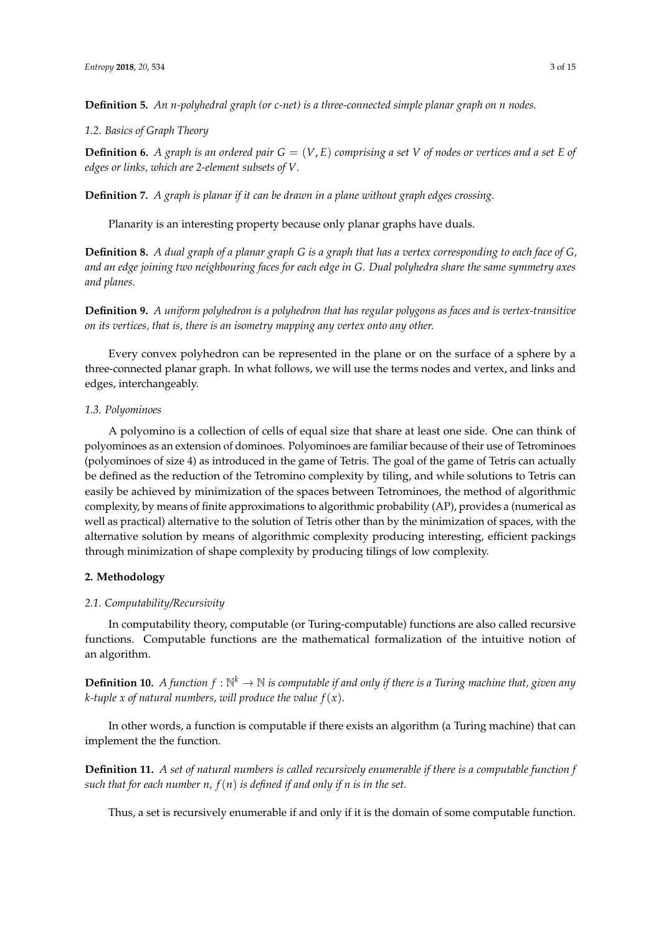**Definition 5.** *An n-polyhedral graph (or c-net) is a three-connected simple planar graph on n nodes.*

*1.2. Basics of Graph Theory*

**Definition 6.** A graph is an ordered pair  $G = (V, E)$  comprising a set V of nodes or vertices and a set E of *edges or links, which are 2-element subsets of V.*

**Definition 7.** *A graph is planar if it can be drawn in a plane without graph edges crossing.*

Planarity is an interesting property because only planar graphs have duals.

**Definition 8.** *A dual graph of a planar graph G is a graph that has a vertex corresponding to each face of G, and an edge joining two neighbouring faces for each edge in G. Dual polyhedra share the same symmetry axes and planes.*

**Definition 9.** *A uniform polyhedron is a polyhedron that has regular polygons as faces and is vertex-transitive on its vertices, that is, there is an isometry mapping any vertex onto any other.*

Every convex polyhedron can be represented in the plane or on the surface of a sphere by a three-connected planar graph. In what follows, we will use the terms nodes and vertex, and links and edges, interchangeably.

## *1.3. Polyominoes*

A polyomino is a collection of cells of equal size that share at least one side. One can think of polyominoes as an extension of dominoes. Polyominoes are familiar because of their use of Tetrominoes (polyominoes of size 4) as introduced in the game of Tetris. The goal of the game of Tetris can actually be defined as the reduction of the Tetromino complexity by tiling, and while solutions to Tetris can easily be achieved by minimization of the spaces between Tetrominoes, the method of algorithmic complexity, by means of finite approximations to algorithmic probability (AP), provides a (numerical as well as practical) alternative to the solution of Tetris other than by the minimization of spaces, with the alternative solution by means of algorithmic complexity producing interesting, efficient packings through minimization of shape complexity by producing tilings of low complexity.

## **2. Methodology**

## *2.1. Computability/Recursivity*

In computability theory, computable (or Turing-computable) functions are also called recursive functions. Computable functions are the mathematical formalization of the intuitive notion of an algorithm.

**Definition 10.** *A function*  $f : \mathbb{N}^k \to \mathbb{N}$  *is computable if and only if there is a Turing machine that, given any k*-tuple x of natural numbers, will produce the value  $f(x)$ .

In other words, a function is computable if there exists an algorithm (a Turing machine) that can implement the the function.

**Definition 11.** *A set of natural numbers is called recursively enumerable if there is a computable function f such that for each number n, f*(*n*) *is defined if and only if n is in the set.*

Thus, a set is recursively enumerable if and only if it is the domain of some computable function.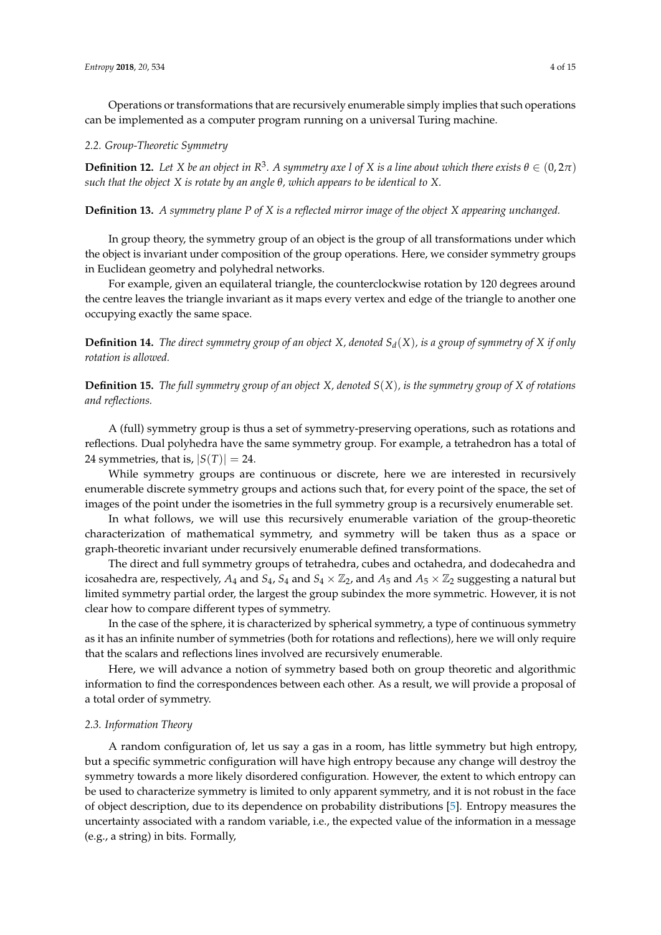Operations or transformations that are recursively enumerable simply implies that such operations can be implemented as a computer program running on a universal Turing machine.

## *2.2. Group-Theoretic Symmetry*

**Definition 12.** Let X be an object in  $R^3$ . A symmetry axe l of X is a line about which there exists  $\theta \in (0, 2\pi)$ *such that the object X is rotate by an angle θ, which appears to be identical to X.*

**Definition 13.** *A symmetry plane P of X is a reflected mirror image of the object X appearing unchanged.*

In group theory, the symmetry group of an object is the group of all transformations under which the object is invariant under composition of the group operations. Here, we consider symmetry groups in Euclidean geometry and polyhedral networks.

For example, given an equilateral triangle, the counterclockwise rotation by 120 degrees around the centre leaves the triangle invariant as it maps every vertex and edge of the triangle to another one occupying exactly the same space.

**Definition 14.** *The direct symmetry group of an object X, denoted S<sup>d</sup>* (*X*)*, is a group of symmetry of X if only rotation is allowed.*

**Definition 15.** *The full symmetry group of an object X, denoted S*(*X*)*, is the symmetry group of X of rotations and reflections.*

A (full) symmetry group is thus a set of symmetry-preserving operations, such as rotations and reflections. Dual polyhedra have the same symmetry group. For example, a tetrahedron has a total of 24 symmetries, that is,  $|S(T)| = 24$ .

While symmetry groups are continuous or discrete, here we are interested in recursively enumerable discrete symmetry groups and actions such that, for every point of the space, the set of images of the point under the isometries in the full symmetry group is a recursively enumerable set.

In what follows, we will use this recursively enumerable variation of the group-theoretic characterization of mathematical symmetry, and symmetry will be taken thus as a space or graph-theoretic invariant under recursively enumerable defined transformations.

The direct and full symmetry groups of tetrahedra, cubes and octahedra, and dodecahedra and icosahedra are, respectively,  $A_4$  and  $S_4$ ,  $S_4$  and  $S_4 \times \mathbb{Z}_2$ , and  $A_5$  and  $A_5 \times \mathbb{Z}_2$  suggesting a natural but limited symmetry partial order, the largest the group subindex the more symmetric. However, it is not clear how to compare different types of symmetry.

In the case of the sphere, it is characterized by spherical symmetry, a type of continuous symmetry as it has an infinite number of symmetries (both for rotations and reflections), here we will only require that the scalars and reflections lines involved are recursively enumerable.

Here, we will advance a notion of symmetry based both on group theoretic and algorithmic information to find the correspondences between each other. As a result, we will provide a proposal of a total order of symmetry.

#### *2.3. Information Theory*

A random configuration of, let us say a gas in a room, has little symmetry but high entropy, but a specific symmetric configuration will have high entropy because any change will destroy the symmetry towards a more likely disordered configuration. However, the extent to which entropy can be used to characterize symmetry is limited to only apparent symmetry, and it is not robust in the face of object description, due to its dependence on probability distributions [\[5\]](#page-13-4). Entropy measures the uncertainty associated with a random variable, i.e., the expected value of the information in a message (e.g., a string) in bits. Formally,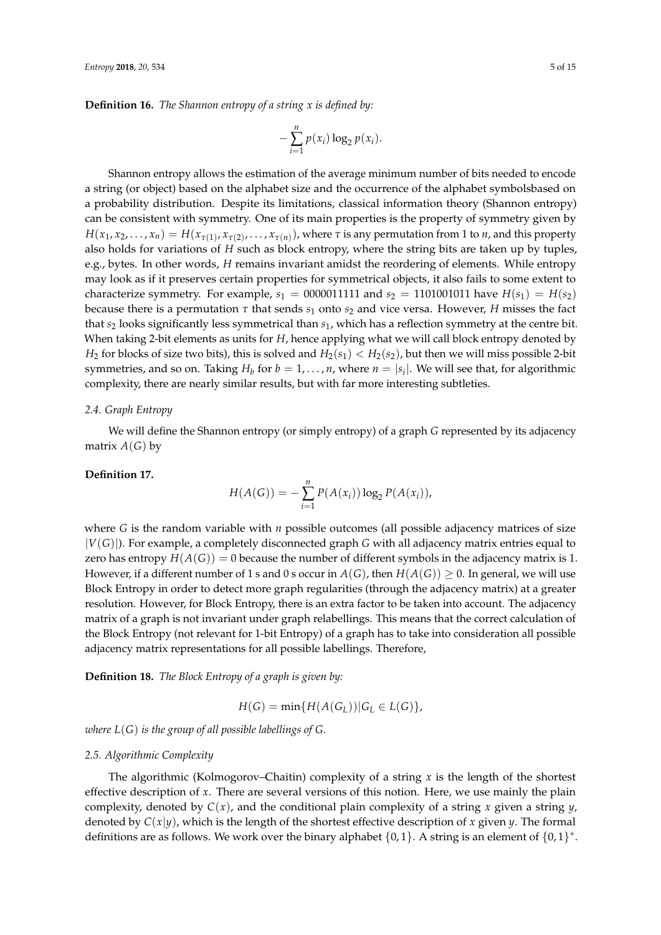**Definition 16.** *The Shannon entropy of a string x is defined by:*

$$
-\sum_{i=1}^n p(x_i) \log_2 p(x_i).
$$

Shannon entropy allows the estimation of the average minimum number of bits needed to encode a string (or object) based on the alphabet size and the occurrence of the alphabet symbolsbased on a probability distribution. Despite its limitations, classical information theory (Shannon entropy) can be consistent with symmetry. One of its main properties is the property of symmetry given by  $H(x_1, x_2, \ldots, x_n) = H(x_{\tau(1)}, x_{\tau(2)}, \ldots, x_{\tau(n)})$ , where  $\tau$  is any permutation from 1 to *n*, and this property also holds for variations of *H* such as block entropy, where the string bits are taken up by tuples, e.g., bytes. In other words, *H* remains invariant amidst the reordering of elements. While entropy may look as if it preserves certain properties for symmetrical objects, it also fails to some extent to characterize symmetry. For example,  $s_1 = 0000011111$  and  $s_2 = 1101001011$  have  $H(s_1) = H(s_2)$ because there is a permutation *τ* that sends *s*<sup>1</sup> onto *s*<sup>2</sup> and vice versa. However, *H* misses the fact that *s*<sup>2</sup> looks significantly less symmetrical than *s*1, which has a reflection symmetry at the centre bit. When taking 2-bit elements as units for *H*, hence applying what we will call block entropy denoted by *H*<sub>2</sub> for blocks of size two bits), this is solved and  $H_2(s_1) < H_2(s_2)$ , but then we will miss possible 2-bit symmetries, and so on. Taking  $H_b$  for  $b = 1, ..., n$ , where  $n = |s_i|$ . We will see that, for algorithmic complexity, there are nearly similar results, but with far more interesting subtleties.

## *2.4. Graph Entropy*

We will define the Shannon entropy (or simply entropy) of a graph *G* represented by its adjacency matrix  $A(G)$  by

## **Definition 17.**

$$
H(A(G)) = -\sum_{i=1}^{n} P(A(x_i)) \log_2 P(A(x_i)),
$$

where *G* is the random variable with *n* possible outcomes (all possible adjacency matrices of size |*V*(*G*)|). For example, a completely disconnected graph *G* with all adjacency matrix entries equal to zero has entropy  $H(A(G)) = 0$  because the number of different symbols in the adjacency matrix is 1. However, if a different number of 1 s and 0 s occur in  $A(G)$ , then  $H(A(G)) \ge 0$ . In general, we will use Block Entropy in order to detect more graph regularities (through the adjacency matrix) at a greater resolution. However, for Block Entropy, there is an extra factor to be taken into account. The adjacency matrix of a graph is not invariant under graph relabellings. This means that the correct calculation of the Block Entropy (not relevant for 1-bit Entropy) of a graph has to take into consideration all possible adjacency matrix representations for all possible labellings. Therefore,

**Definition 18.** *The Block Entropy of a graph is given by:*

$$
H(G) = min\{H(A(G_L))|G_L \in L(G)\},
$$

*where L*(*G*) *is the group of all possible labellings of G.*

## *2.5. Algorithmic Complexity*

The algorithmic (Kolmogorov–Chaitin) complexity of a string  $x$  is the length of the shortest effective description of *x*. There are several versions of this notion. Here, we use mainly the plain complexity, denoted by *C*(*x*), and the conditional plain complexity of a string *x* given a string *y*, denoted by  $C(x|y)$ , which is the length of the shortest effective description of x given y. The formal definitions are as follows. We work over the binary alphabet  $\{0,1\}$ . A string is an element of  $\{0,1\}^*$ .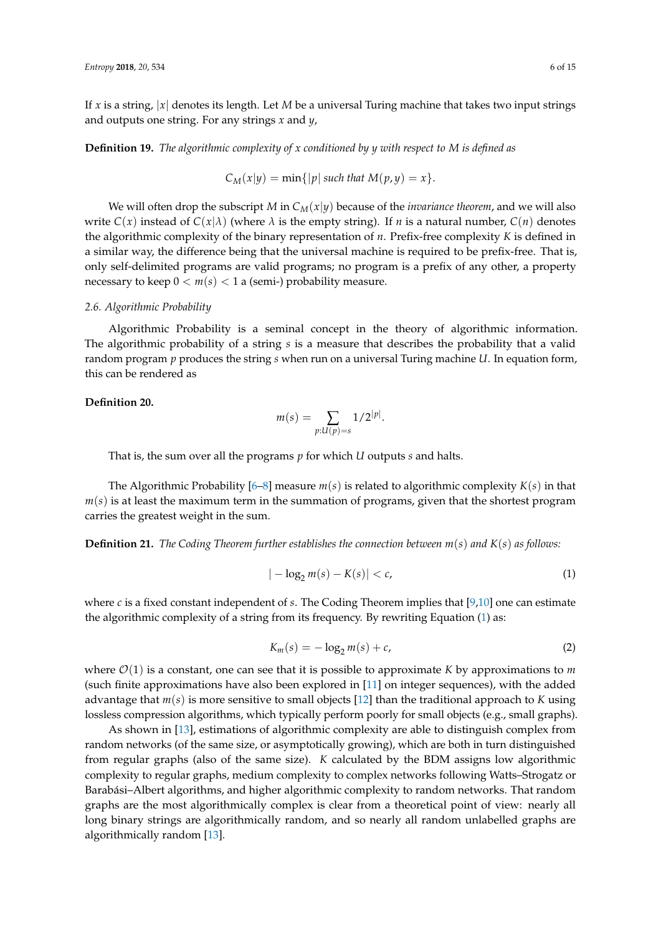If *x* is a string, |*x*| denotes its length. Let *M* be a universal Turing machine that takes two input strings and outputs one string. For any strings *x* and *y*,

**Definition 19.** *The algorithmic complexity of x conditioned by y with respect to M is defined as*

$$
C_M(x|y) = \min\{|p| \text{ such that } M(p,y) = x\}.
$$

We will often drop the subscript *M* in  $C_M(x|y)$  because of the *invariance theorem*, and we will also write  $C(x)$  instead of  $C(x|\lambda)$  (where  $\lambda$  is the empty string). If *n* is a natural number,  $C(n)$  denotes the algorithmic complexity of the binary representation of *n*. Prefix-free complexity *K* is defined in a similar way, the difference being that the universal machine is required to be prefix-free. That is, only self-delimited programs are valid programs; no program is a prefix of any other, a property necessary to keep  $0 < m(s) < 1$  a (semi-) probability measure.

## *2.6. Algorithmic Probability*

Algorithmic Probability is a seminal concept in the theory of algorithmic information. The algorithmic probability of a string *s* is a measure that describes the probability that a valid random program *p* produces the string *s* when run on a universal Turing machine *U*. In equation form, this can be rendered as

## **Definition 20.**

$$
m(s) = \sum_{p:U(p)=s} 1/2^{|p|}.
$$

That is, the sum over all the programs *p* for which *U* outputs *s* and halts.

The Algorithmic Probability  $[6-8]$  $[6-8]$  measure  $m(s)$  is related to algorithmic complexity  $K(s)$  in that *m*(*s*) is at least the maximum term in the summation of programs, given that the shortest program carries the greatest weight in the sum.

**Definition 21.** *The Coding Theorem further establishes the connection between m*(*s*) *and K*(*s*) *as follows:*

<span id="page-5-0"></span>
$$
|-\log_2 m(s)-K(s)|\n<sup>(1)</sup>
$$

where  $c$  is a fixed constant independent of  $s$ . The Coding Theorem implies that  $[9,10]$  $[9,10]$  one can estimate the algorithmic complexity of a string from its frequency. By rewriting Equation [\(1\)](#page-5-0) as:

<span id="page-5-1"></span>
$$
K_m(s) = -\log_2 m(s) + c,\tag{2}
$$

where  $\mathcal{O}(1)$  is a constant, one can see that it is possible to approximate *K* by approximations to *m* (such finite approximations have also been explored in [\[11\]](#page-13-9) on integer sequences), with the added advantage that *m*(*s*) is more sensitive to small objects [\[12\]](#page-14-0) than the traditional approach to *K* using lossless compression algorithms, which typically perform poorly for small objects (e.g., small graphs).

As shown in [\[13\]](#page-14-1), estimations of algorithmic complexity are able to distinguish complex from random networks (of the same size, or asymptotically growing), which are both in turn distinguished from regular graphs (also of the same size). *K* calculated by the BDM assigns low algorithmic complexity to regular graphs, medium complexity to complex networks following Watts–Strogatz or Barabási–Albert algorithms, and higher algorithmic complexity to random networks. That random graphs are the most algorithmically complex is clear from a theoretical point of view: nearly all long binary strings are algorithmically random, and so nearly all random unlabelled graphs are algorithmically random [\[13\]](#page-14-1).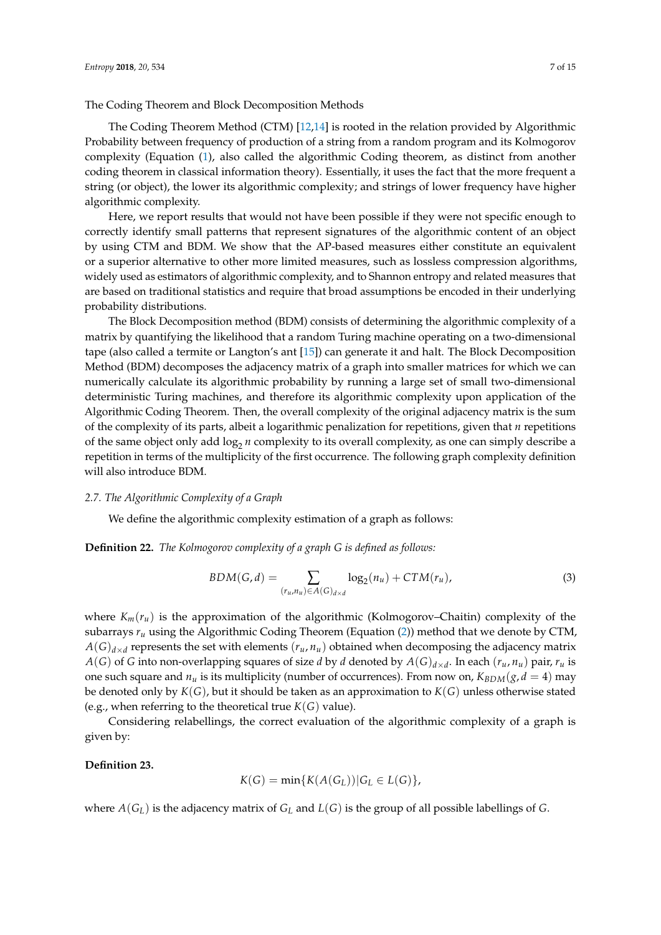The Coding Theorem and Block Decomposition Methods

The Coding Theorem Method (CTM) [\[12](#page-14-0)[,14\]](#page-14-2) is rooted in the relation provided by Algorithmic Probability between frequency of production of a string from a random program and its Kolmogorov complexity (Equation [\(1\)](#page-5-0), also called the algorithmic Coding theorem, as distinct from another coding theorem in classical information theory). Essentially, it uses the fact that the more frequent a string (or object), the lower its algorithmic complexity; and strings of lower frequency have higher algorithmic complexity.

Here, we report results that would not have been possible if they were not specific enough to correctly identify small patterns that represent signatures of the algorithmic content of an object by using CTM and BDM. We show that the AP-based measures either constitute an equivalent or a superior alternative to other more limited measures, such as lossless compression algorithms, widely used as estimators of algorithmic complexity, and to Shannon entropy and related measures that are based on traditional statistics and require that broad assumptions be encoded in their underlying probability distributions.

The Block Decomposition method (BDM) consists of determining the algorithmic complexity of a matrix by quantifying the likelihood that a random Turing machine operating on a two-dimensional tape (also called a termite or Langton's ant [\[15\]](#page-14-3)) can generate it and halt. The Block Decomposition Method (BDM) decomposes the adjacency matrix of a graph into smaller matrices for which we can numerically calculate its algorithmic probability by running a large set of small two-dimensional deterministic Turing machines, and therefore its algorithmic complexity upon application of the Algorithmic Coding Theorem. Then, the overall complexity of the original adjacency matrix is the sum of the complexity of its parts, albeit a logarithmic penalization for repetitions, given that *n* repetitions of the same object only add  $\log_2 n$  complexity to its overall complexity, as one can simply describe a repetition in terms of the multiplicity of the first occurrence. The following graph complexity definition will also introduce BDM.

#### *2.7. The Algorithmic Complexity of a Graph*

We define the algorithmic complexity estimation of a graph as follows:

**Definition 22.** *The Kolmogorov complexity of a graph G is defined as follows:*

$$
BDM(G,d) = \sum_{(r_u,n_u)\in A(G)_{d\times d}} \log_2(n_u) + CTM(r_u),\tag{3}
$$

where  $K_m(r_u)$  is the approximation of the algorithmic (Kolmogorov–Chaitin) complexity of the subarrays  $r_u$  using the Algorithmic Coding Theorem (Equation [\(2\)](#page-5-1)) method that we denote by CTM,  $A(G)_{d \times d}$  represents the set with elements  $(r_u, n_u)$  obtained when decomposing the adjacency matrix  $A(G)$  of *G* into non-overlapping squares of size *d* by *d* denoted by  $A(G)_{d \times d}$ . In each  $(r_u, n_u)$  pair,  $r_u$  is one such square and  $n_u$  is its multiplicity (number of occurrences). From now on,  $K_{BDM}(g, d = 4)$  may be denoted only by *K*(*G*), but it should be taken as an approximation to *K*(*G*) unless otherwise stated (e.g., when referring to the theoretical true  $K(G)$  value).

Considering relabellings, the correct evaluation of the algorithmic complexity of a graph is given by:

## **Definition 23.**

$$
K(G) = min\{K(A(G_L))|G_L \in L(G)\},
$$

where  $A(G_L)$  is the adjacency matrix of  $G_L$  and  $L(G)$  is the group of all possible labellings of  $G$ .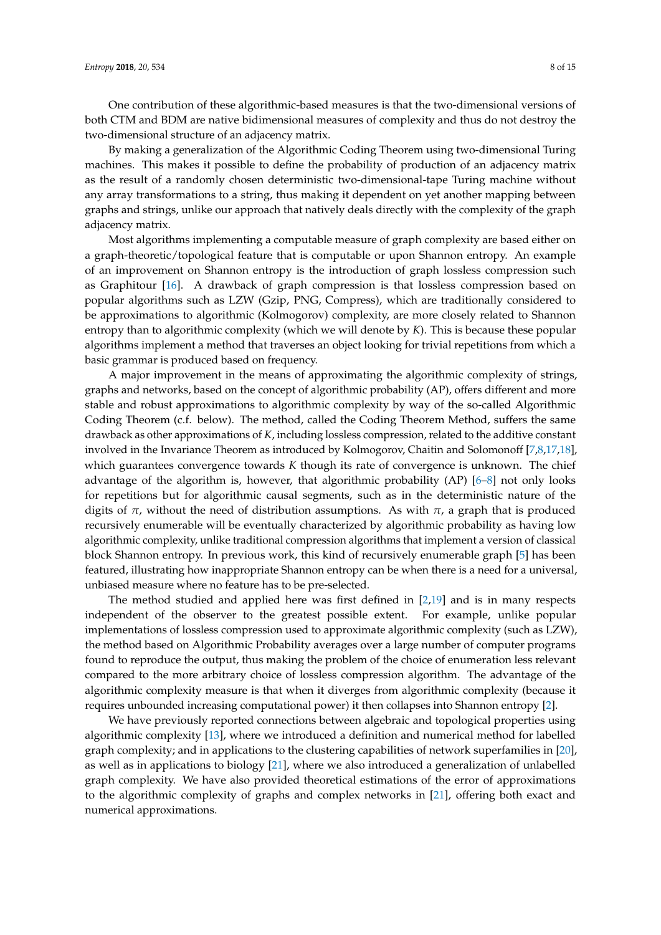One contribution of these algorithmic-based measures is that the two-dimensional versions of both CTM and BDM are native bidimensional measures of complexity and thus do not destroy the two-dimensional structure of an adjacency matrix.

By making a generalization of the Algorithmic Coding Theorem using two-dimensional Turing machines. This makes it possible to define the probability of production of an adjacency matrix as the result of a randomly chosen deterministic two-dimensional-tape Turing machine without any array transformations to a string, thus making it dependent on yet another mapping between graphs and strings, unlike our approach that natively deals directly with the complexity of the graph adjacency matrix.

Most algorithms implementing a computable measure of graph complexity are based either on a graph-theoretic/topological feature that is computable or upon Shannon entropy. An example of an improvement on Shannon entropy is the introduction of graph lossless compression such as Graphitour [\[16\]](#page-14-4). A drawback of graph compression is that lossless compression based on popular algorithms such as LZW (Gzip, PNG, Compress), which are traditionally considered to be approximations to algorithmic (Kolmogorov) complexity, are more closely related to Shannon entropy than to algorithmic complexity (which we will denote by *K*). This is because these popular algorithms implement a method that traverses an object looking for trivial repetitions from which a basic grammar is produced based on frequency.

A major improvement in the means of approximating the algorithmic complexity of strings, graphs and networks, based on the concept of algorithmic probability (AP), offers different and more stable and robust approximations to algorithmic complexity by way of the so-called Algorithmic Coding Theorem (c.f. below). The method, called the Coding Theorem Method, suffers the same drawback as other approximations of *K*, including lossless compression, related to the additive constant involved in the Invariance Theorem as introduced by Kolmogorov, Chaitin and Solomonoff [\[7](#page-13-10)[,8](#page-13-6)[,17](#page-14-5)[,18\]](#page-14-6), which guarantees convergence towards *K* though its rate of convergence is unknown. The chief advantage of the algorithm is, however, that algorithmic probability (AP) [\[6–](#page-13-5)[8\]](#page-13-6) not only looks for repetitions but for algorithmic causal segments, such as in the deterministic nature of the digits of  $\pi$ , without the need of distribution assumptions. As with  $\pi$ , a graph that is produced recursively enumerable will be eventually characterized by algorithmic probability as having low algorithmic complexity, unlike traditional compression algorithms that implement a version of classical block Shannon entropy. In previous work, this kind of recursively enumerable graph [\[5\]](#page-13-4) has been featured, illustrating how inappropriate Shannon entropy can be when there is a need for a universal, unbiased measure where no feature has to be pre-selected.

The method studied and applied here was first defined in [\[2](#page-13-1)[,19\]](#page-14-7) and is in many respects independent of the observer to the greatest possible extent. For example, unlike popular implementations of lossless compression used to approximate algorithmic complexity (such as LZW), the method based on Algorithmic Probability averages over a large number of computer programs found to reproduce the output, thus making the problem of the choice of enumeration less relevant compared to the more arbitrary choice of lossless compression algorithm. The advantage of the algorithmic complexity measure is that when it diverges from algorithmic complexity (because it requires unbounded increasing computational power) it then collapses into Shannon entropy [\[2\]](#page-13-1).

We have previously reported connections between algebraic and topological properties using algorithmic complexity [\[13\]](#page-14-1), where we introduced a definition and numerical method for labelled graph complexity; and in applications to the clustering capabilities of network superfamilies in [\[20\]](#page-14-8), as well as in applications to biology [\[21\]](#page-14-9), where we also introduced a generalization of unlabelled graph complexity. We have also provided theoretical estimations of the error of approximations to the algorithmic complexity of graphs and complex networks in [\[21\]](#page-14-9), offering both exact and numerical approximations.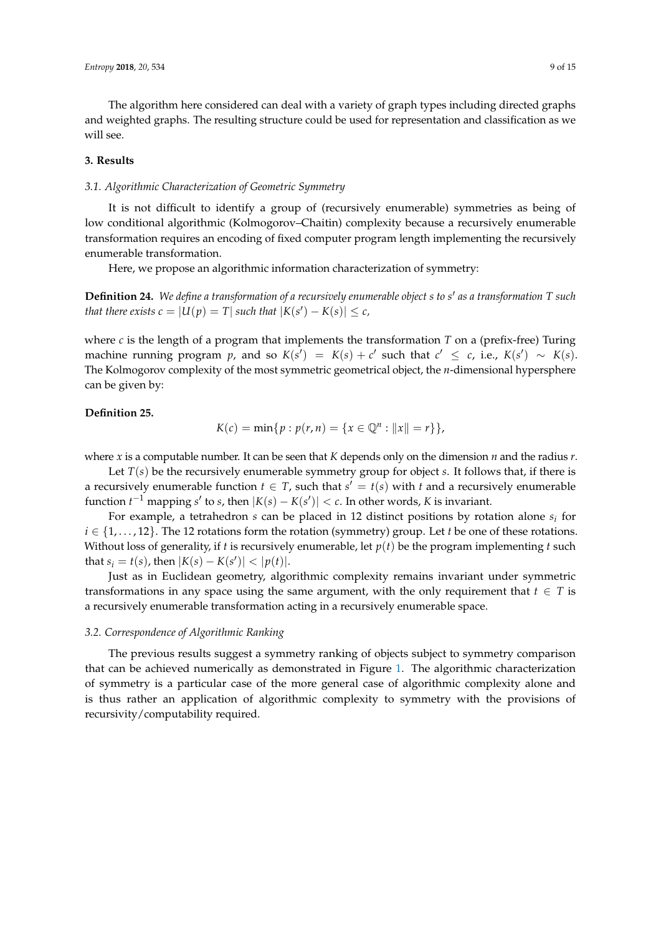The algorithm here considered can deal with a variety of graph types including directed graphs and weighted graphs. The resulting structure could be used for representation and classification as we will see.

#### **3. Results**

## *3.1. Algorithmic Characterization of Geometric Symmetry*

It is not difficult to identify a group of (recursively enumerable) symmetries as being of low conditional algorithmic (Kolmogorov–Chaitin) complexity because a recursively enumerable transformation requires an encoding of fixed computer program length implementing the recursively enumerable transformation.

Here, we propose an algorithmic information characterization of symmetry:

**Definition 24.** *We define a transformation of a recursively enumerable object s to s* 0 *as a transformation T such that there exists c* =  $|U(p) = T|$  *such that*  $|K(s') - K(s)| \le c$ ,

where *c* is the length of a program that implements the transformation *T* on a (prefix-free) Turing machine running program *p*, and so  $K(s') = K(s) + c'$  such that  $c' \leq c$ , i.e.,  $K(s') \sim K(s)$ . The Kolmogorov complexity of the most symmetric geometrical object, the *n*-dimensional hypersphere can be given by:

## **Definition 25.**

$$
K(c) = \min\{p : p(r, n) = \{x \in \mathbb{Q}^n : ||x|| = r\}\},\
$$

where *x* is a computable number. It can be seen that *K* depends only on the dimension *n* and the radius *r*.

Let *T*(*s*) be the recursively enumerable symmetry group for object *s*. It follows that, if there is a recursively enumerable function  $t \in T$ , such that  $s' = t(s)$  with  $t$  and a recursively enumerable function  $t^{-1}$  mapping *s'* to *s*, then  $|K(s) - K(s')| < c$ . In other words, *K* is invariant.

For example, a tetrahedron *s* can be placed in 12 distinct positions by rotation alone *s<sup>i</sup>* for *i* ∈ {1, . . . , 12}. The 12 rotations form the rotation (symmetry) group. Let *t* be one of these rotations. Without loss of generality, if *t* is recursively enumerable, let *p*(*t*) be the program implementing *t* such that  $s_i = t(s)$ , then  $|K(s) - K(s')| < |p(t)|$ .

Just as in Euclidean geometry, algorithmic complexity remains invariant under symmetric transformations in any space using the same argument, with the only requirement that  $t \in T$  is a recursively enumerable transformation acting in a recursively enumerable space.

#### *3.2. Correspondence of Algorithmic Ranking*

The previous results suggest a symmetry ranking of objects subject to symmetry comparison that can be achieved numerically as demonstrated in Figure [1.](#page-9-0) The algorithmic characterization of symmetry is a particular case of the more general case of algorithmic complexity alone and is thus rather an application of algorithmic complexity to symmetry with the provisions of recursivity/computability required.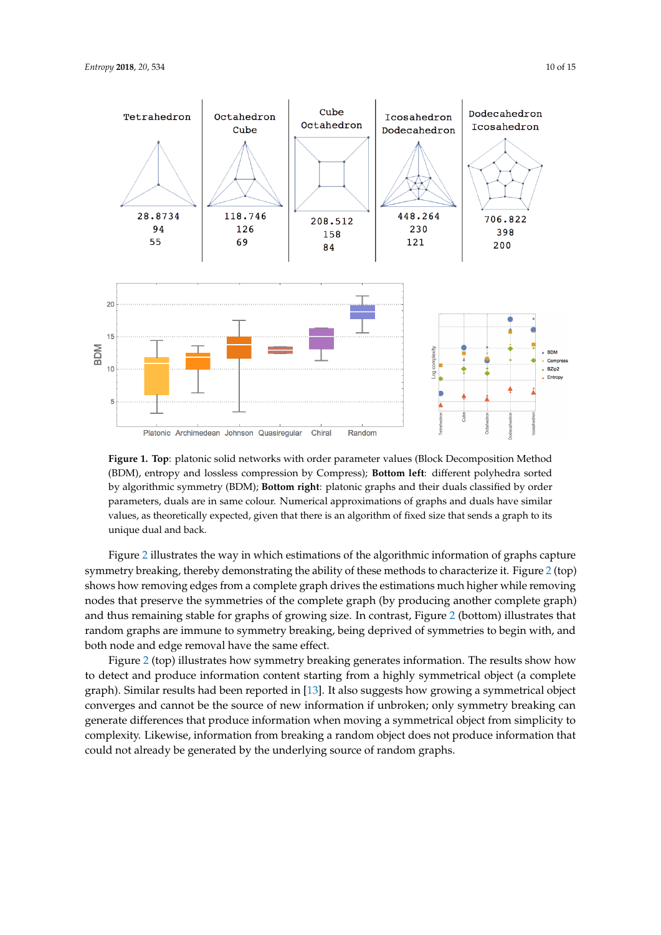<span id="page-9-0"></span>

**Figure 1. Top**: platonic solid networks with order parameter values (Block Decomposition Method (BDM), entropy and lossless compression by Compress); **Bottom left**: different polyhedra sorted by algorithmic symmetry (BDM); **Bottom right**: platonic graphs and their duals classified by order parameters, duals are in same colour. Numerical approximations of graphs and duals have similar values, as theoretically expected, given that there is an algorithm of fixed size that sends a graph to its unique dual and back.

Chiral

Random

Platonic Archimedean Johnson Quasiregular

Figure [2](#page-10-0) illustrates the way in which estimations of the algorithmic information of graphs capture symmetry breaking, thereby demonstrating the ability of these methods to characterize it. Figure [2](#page-10-0) (top) shows how removing edges from a complete graph drives the estimations much higher while removing nodes that preserve the symmetries of the complete graph (by producing another complete graph) and thus remaining stable for graphs of growing size. In contrast, Figure [2](#page-10-0) (bottom) illustrates that random graphs are immune to symmetry breaking, being deprived of symmetries to begin with, and both node and edge removal have the same effect.

Figure [2](#page-10-0) (top) illustrates how symmetry breaking generates information. The results show how to detect and produce information content starting from a highly symmetrical object (a complete graph). Similar results had been reported in [\[13\]](#page-14-1). It also suggests how growing a symmetrical object converges and cannot be the source of new information if unbroken; only symmetry breaking can generate differences that produce information when moving a symmetrical object from simplicity to complexity. Likewise, information from breaking a random object does not produce information that could not already be generated by the underlying source of random graphs.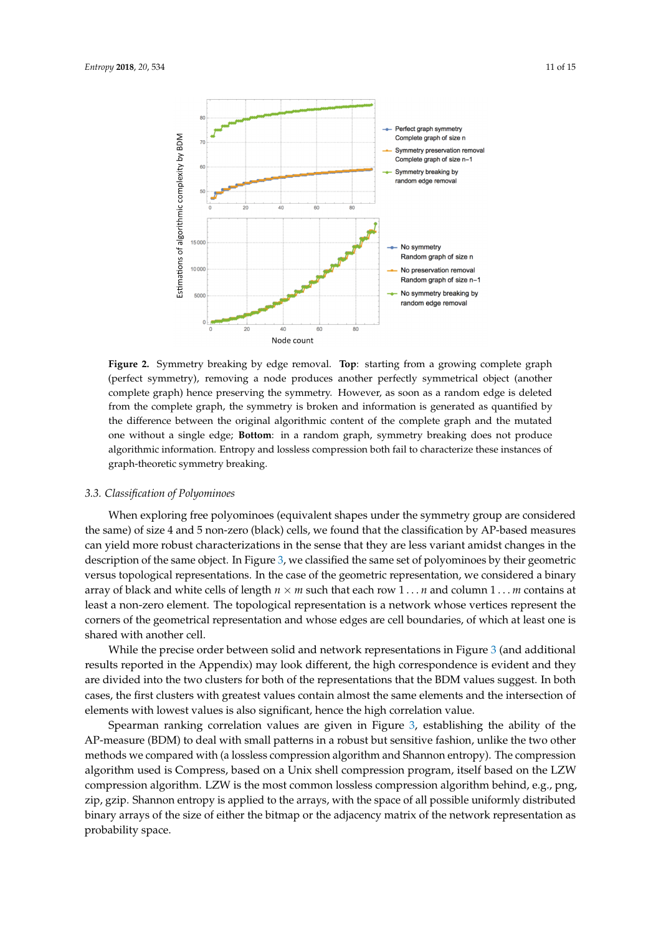<span id="page-10-0"></span>

**Figure 2.** Symmetry breaking by edge removal. **Top**: starting from a growing complete graph (perfect symmetry), removing a node produces another perfectly symmetrical object (another complete graph) hence preserving the symmetry. However, as soon as a random edge is deleted from the complete graph, the symmetry is broken and information is generated as quantified by the difference between the original algorithmic content of the complete graph and the mutated one without a single edge; **Bottom**: in a random graph, symmetry breaking does not produce algorithmic information. Entropy and lossless compression both fail to characterize these instances of graph-theoretic symmetry breaking.

## *3.3. Classification of Polyominoes*

When exploring free polyominoes (equivalent shapes under the symmetry group are considered the same) of size 4 and 5 non-zero (black) cells, we found that the classification by AP-based measures can yield more robust characterizations in the sense that they are less variant amidst changes in the description of the same object. In Figure [3,](#page-11-0) we classified the same set of polyominoes by their geometric versus topological representations. In the case of the geometric representation, we considered a binary array of black and white cells of length  $n \times m$  such that each row  $1 \dots n$  and column  $1 \dots m$  contains at least a non-zero element. The topological representation is a network whose vertices represent the corners of the geometrical representation and whose edges are cell boundaries, of which at least one is shared with another cell.

While the precise order between solid and network representations in Figure [3](#page-11-0) (and additional results reported in the Appendix) may look different, the high correspondence is evident and they are divided into the two clusters for both of the representations that the BDM values suggest. In both cases, the first clusters with greatest values contain almost the same elements and the intersection of elements with lowest values is also significant, hence the high correlation value.

Spearman ranking correlation values are given in Figure [3,](#page-11-0) establishing the ability of the AP-measure (BDM) to deal with small patterns in a robust but sensitive fashion, unlike the two other methods we compared with (a lossless compression algorithm and Shannon entropy). The compression algorithm used is Compress, based on a Unix shell compression program, itself based on the LZW compression algorithm. LZW is the most common lossless compression algorithm behind, e.g., png, zip, gzip. Shannon entropy is applied to the arrays, with the space of all possible uniformly distributed binary arrays of the size of either the bitmap or the adjacency matrix of the network representation as probability space.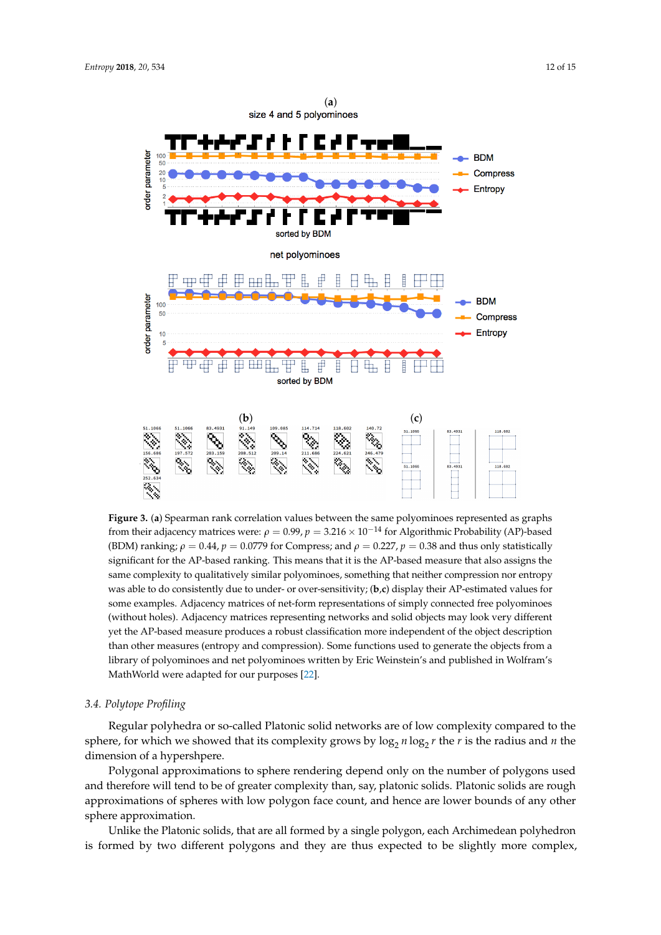<span id="page-11-0"></span>

**Figure 3.** (**a**) Spearman rank correlation values between the same polyominoes represented as graphs from their adjacency matrices were:  $\rho = 0.99$ ,  $p = 3.216 \times 10^{-14}$  for Algorithmic Probability (AP)-based (BDM) ranking;  $\rho = 0.44$ ,  $p = 0.0779$  for Compress; and  $\rho = 0.227$ ,  $p = 0.38$  and thus only statistically significant for the AP-based ranking. This means that it is the AP-based measure that also assigns the same complexity to qualitatively similar polyominoes, something that neither compression nor entropy was able to do consistently due to under- or over-sensitivity; (**b**,**c**) display their AP-estimated values for some examples. Adjacency matrices of net-form representations of simply connected free polyominoes (without holes). Adjacency matrices representing networks and solid objects may look very different yet the AP-based measure produces a robust classification more independent of the object description than other measures (entropy and compression). Some functions used to generate the objects from a library of polyominoes and net polyominoes written by Eric Weinstein's and published in Wolfram's MathWorld were adapted for our purposes [\[22\]](#page-14-10).

#### *3.4. Polytope Profiling*

Regular polyhedra or so-called Platonic solid networks are of low complexity compared to the  $s$ phere, for which we showed that its complexity grows by  $\log_2 n \log_2 r$  the  $r$  is the radius and  $n$  the dimension of a hypershpere.

Polygonal approximations to sphere rendering depend only on the number of polygons used and therefore will tend to be of greater complexity than, say, platonic solids. Platonic solids are rough approximations of spheres with low polygon face count, and hence are lower bounds of any other sphere approximation.

Unlike the Platonic solids, that are all formed by a single polygon, each Archimedean polyhedron is formed by two different polygons and they are thus expected to be slightly more complex,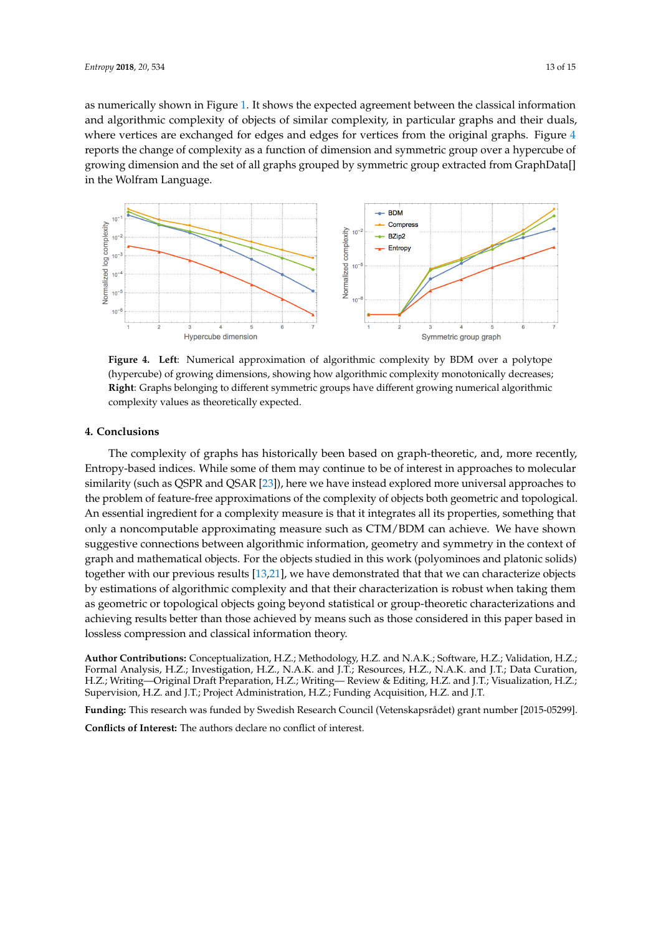as numerically shown in Figure [1.](#page-9-0) It shows the expected agreement between the classical information and algorithmic complexity of objects of similar complexity, in particular graphs and their duals, where vertices are exchanged for edges and edges for vertices from the original graphs. Figure [4](#page-12-0) reports the change of complexity as a function of dimension and symmetric group over a hypercube of growing dimension and the set of all graphs grouped by symmetric group extracted from GraphData[] in the Wolfram Language.

<span id="page-12-0"></span>

**Figure 4. Left**: Numerical approximation of algorithmic complexity by BDM over a polytope (hypercube) of growing dimensions, showing how algorithmic complexity monotonically decreases; **Right**: Graphs belonging to different symmetric groups have different growing numerical algorithmic complexity values as theoretically expected.

## **4. Conclusions**

The complexity of graphs has historically been based on graph-theoretic, and, more recently, Entropy-based indices. While some of them may continue to be of interest in approaches to molecular similarity (such as QSPR and QSAR [\[23\]](#page-14-11)), here we have instead explored more universal approaches to the problem of feature-free approximations of the complexity of objects both geometric and topological. An essential ingredient for a complexity measure is that it integrates all its properties, something that only a noncomputable approximating measure such as CTM/BDM can achieve. We have shown suggestive connections between algorithmic information, geometry and symmetry in the context of graph and mathematical objects. For the objects studied in this work (polyominoes and platonic solids) together with our previous results [\[13](#page-14-1)[,21\]](#page-14-9), we have demonstrated that that we can characterize objects by estimations of algorithmic complexity and that their characterization is robust when taking them as geometric or topological objects going beyond statistical or group-theoretic characterizations and achieving results better than those achieved by means such as those considered in this paper based in lossless compression and classical information theory.

**Author Contributions:** Conceptualization, H.Z.; Methodology, H.Z. and N.A.K.; Software, H.Z.; Validation, H.Z.; Formal Analysis, H.Z.; Investigation, H.Z., N.A.K. and J.T.; Resources, H.Z., N.A.K. and J.T.; Data Curation, H.Z.; Writing—Original Draft Preparation, H.Z.; Writing— Review & Editing, H.Z. and J.T.; Visualization, H.Z.; Supervision, H.Z. and J.T.; Project Administration, H.Z.; Funding Acquisition, H.Z. and J.T.

**Funding:** This research was funded by Swedish Research Council (Vetenskapsrådet) grant number [2015-05299].

**Conflicts of Interest:** The authors declare no conflict of interest.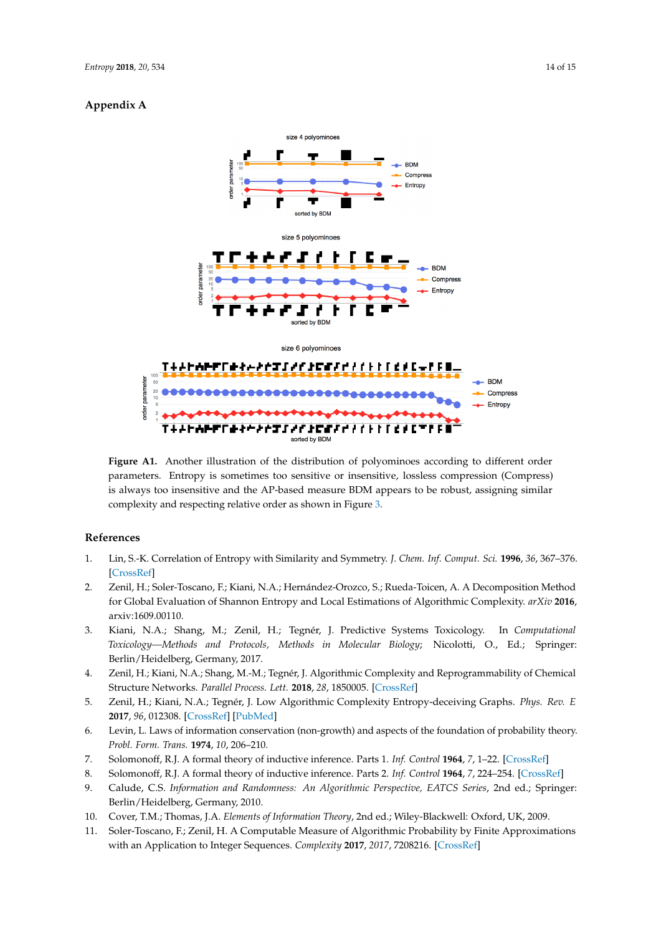## **Appendix A**



Figure A1. Another illustration of the distribution of polyominoes according to different order parameters. Entropy is sometimes too sensitive or insensitive, lossless compression (Compress) is always too insensitive and the AP-based measure BDM appears to be robust, assigning similar complexity and respecting relative order as shown in Figure [3.](#page-11-0)

## **References**

- <span id="page-13-0"></span>1. Lin, S.-K. Correlation of Entropy with Similarity and Symmetry. *J. Chem. Inf. Comput. Sci.* **1996**, *36*, 367–376. [\[CrossRef\]](http://dx.doi.org/10.1021/ci950077k)
- <span id="page-13-1"></span>2. Zenil, H.; Soler-Toscano, F.; Kiani, N.A.; Hernández-Orozco, S.; Rueda-Toicen, A. A Decomposition Method for Global Evaluation of Shannon Entropy and Local Estimations of Algorithmic Complexity. *arXiv* **2016**, arxiv:1609.00110.
- <span id="page-13-2"></span>3. Kiani, N.A.; Shang, M.; Zenil, H.; Tegnér, J. Predictive Systems Toxicology. In *Computational Toxicology—Methods and Protocols, Methods in Molecular Biology*; Nicolotti, O., Ed.; Springer: Berlin/Heidelberg, Germany, 2017.
- <span id="page-13-3"></span>4. Zenil, H.; Kiani, N.A.; Shang, M.-M.; Tegnér, J. Algorithmic Complexity and Reprogrammability of Chemical Structure Networks. *Parallel Process. Lett.* **2018**, *28*, 1850005. [\[CrossRef\]](http://dx.doi.org/10.1142/S0129626418500056)
- <span id="page-13-4"></span>5. Zenil, H.; Kiani, N.A.; Tegnér, J. Low Algorithmic Complexity Entropy-deceiving Graphs. *Phys. Rev. E* **2017**, *96*, 012308. [\[CrossRef\]](http://dx.doi.org/10.1103/PhysRevE.96.012308) [\[PubMed\]](http://www.ncbi.nlm.nih.gov/pubmed/29347130)
- <span id="page-13-5"></span>6. Levin, L. Laws of information conservation (non-growth) and aspects of the foundation of probability theory. *Probl. Form. Trans.* **1974**, *10*, 206–210.
- <span id="page-13-10"></span>7. Solomonoff, R.J. A formal theory of inductive inference. Parts 1. *Inf. Control* **1964**, *7*, 1–22. [\[CrossRef\]](http://dx.doi.org/10.1016/S0019-9958(64)90223-2)
- <span id="page-13-6"></span>8. Solomonoff, R.J. A formal theory of inductive inference. Parts 2. *Inf. Control* **1964**, *7*, 224–254. [\[CrossRef\]](http://dx.doi.org/10.1016/S0019-9958(64)90131-7)
- <span id="page-13-7"></span>9. Calude, C.S. *Information and Randomness: An Algorithmic Perspective, EATCS Series*, 2nd ed.; Springer: Berlin/Heidelberg, Germany, 2010.
- <span id="page-13-8"></span>10. Cover, T.M.; Thomas, J.A. *Elements of Information Theory*, 2nd ed.; Wiley-Blackwell: Oxford, UK, 2009.
- <span id="page-13-9"></span>11. Soler-Toscano, F.; Zenil, H. A Computable Measure of Algorithmic Probability by Finite Approximations with an Application to Integer Sequences. *Complexity* **2017**, *2017*, 7208216. [\[CrossRef\]](http://dx.doi.org/10.1155/2017/7208216)